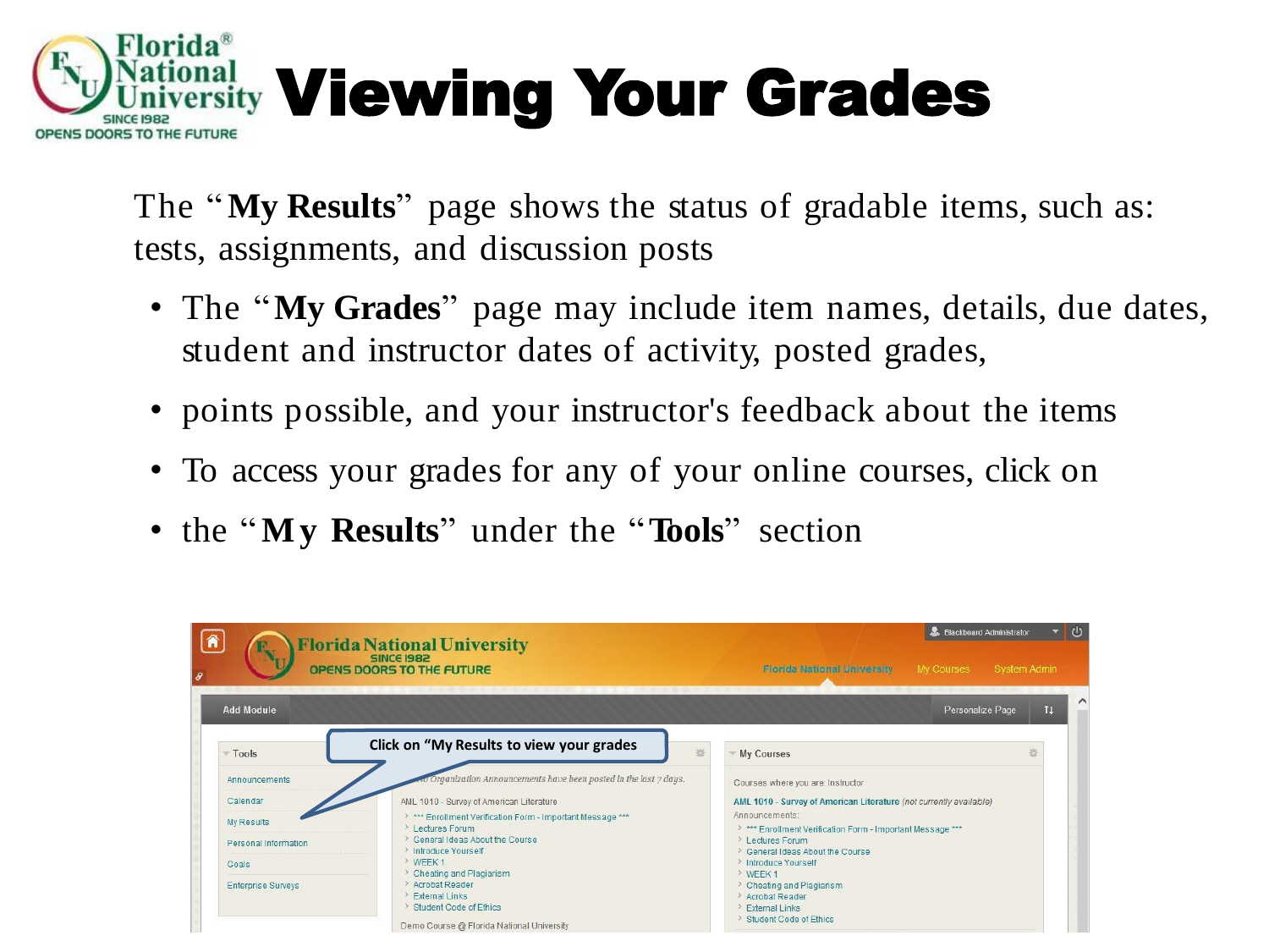

The "**My Results**" page shows the status of gradable items, such as: tests, assignments, and discussion posts

- The "**My Grades**" page may include item names, details, due dates, student and instructor dates of activity, posted grades,
- points possible, and your instructor's feedback about the items
- To access your grades for any of your online courses, click on
- the "**M y Results**" under the "**Tools**" section

|                           | <b>Florida National University</b><br>OPENS DOORS TO THE FUTURE                                                                               | Blackboard Administrator<br><b>Florida National University</b><br>My Courses                               | System Admin |  |
|---------------------------|-----------------------------------------------------------------------------------------------------------------------------------------------|------------------------------------------------------------------------------------------------------------|--------------|--|
| <b>Add Module</b>         |                                                                                                                                               | Personalize Page                                                                                           | 11           |  |
| Tools                     | Click on "My Results to view your grades<br>兴                                                                                                 | <b>My Courses</b>                                                                                          |              |  |
| Announcements             | Organization Announcements have been posted in the last 7 days.                                                                               | Courses where you are: Instructor                                                                          |              |  |
| Calendar                  | AML 1010 - Survey of American Literature                                                                                                      | AML 1010 - Survey of American Literature (not currently available)                                         |              |  |
| My Results                | > *** Enrollment Verification Form - Important Message ***<br>$\geq 1$ ectures Forum                                                          | Announcements:<br>> *** Enrollment Verification Form - Important Message ***                               |              |  |
| Personal Information      | > General Ideas About the Course                                                                                                              | > Lectures Forum                                                                                           |              |  |
| Goals                     | > Introduce Yourself<br>> WEEK 1                                                                                                              | > General Ideas About the Course<br>> Introduce Yourself                                                   |              |  |
| <b>Enterprise Surveys</b> | Cheating and Plagiarism<br>> Acrobat Reader<br><b>External Links</b><br>> Student Code of Ethics<br>Demo Course @ Florida National University | > WEEK 1<br>> Cheating and Plagiarism<br>Acrobat Reader<br><b>External Links</b><br>Student Code of Ethics |              |  |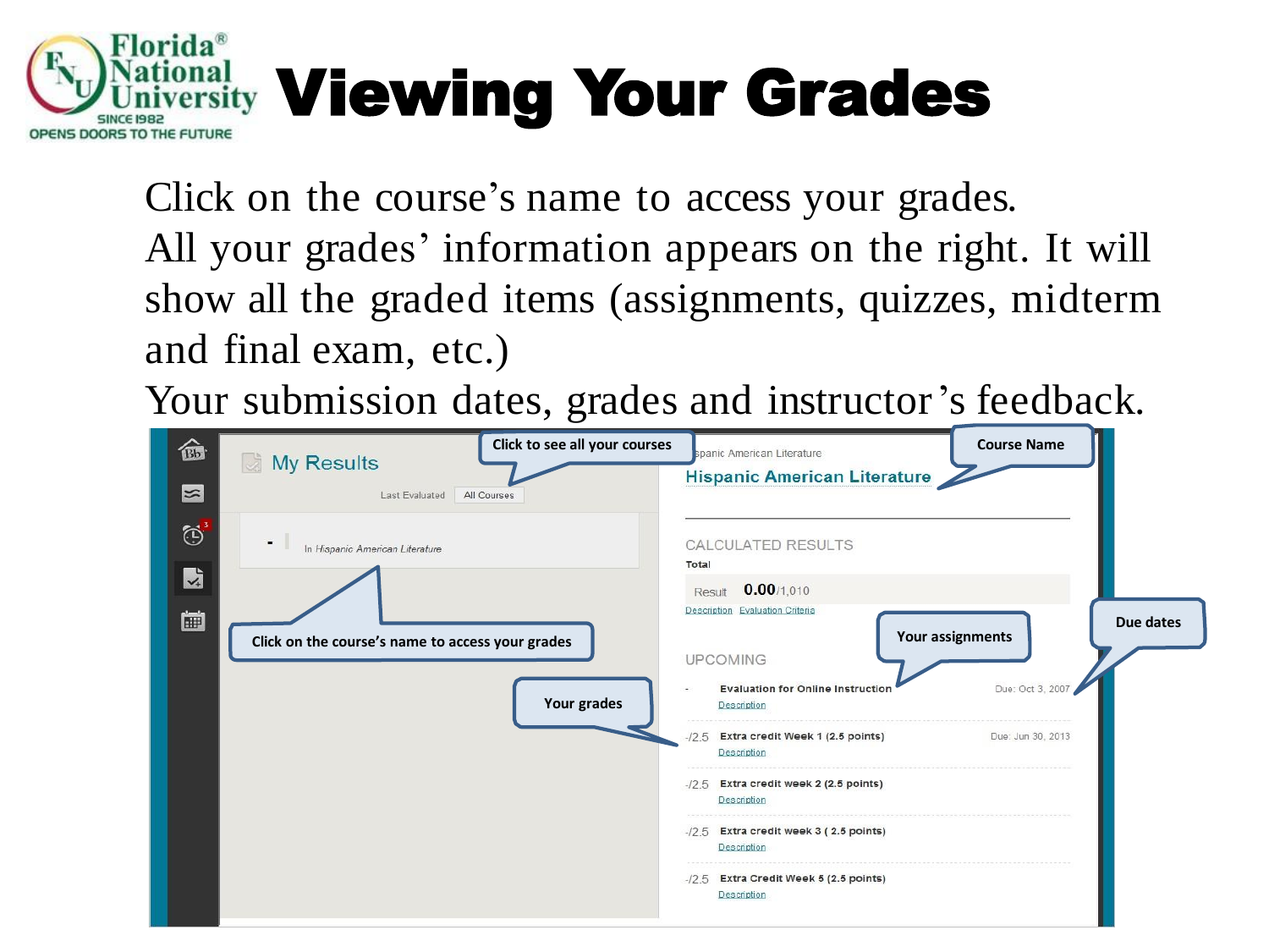

Click on the course's name to access your grades. All your grades' information appears on the right. It will show all the graded items (assignments, quizzes, midterm and final exam, etc.)

Your submission dates, grades and instructor's feedback.

| 命                      | My Results                                                                          | Click to see all your courses | spanic American Literature                                                                                                                                              | <b>Course Name</b>                   |           |
|------------------------|-------------------------------------------------------------------------------------|-------------------------------|-------------------------------------------------------------------------------------------------------------------------------------------------------------------------|--------------------------------------|-----------|
| $\frac{1}{2}$          | Last Evaluated                                                                      | All Courses                   | <b>Hispanic American Literature</b>                                                                                                                                     |                                      |           |
| $\bigodot^3$<br>因<br>圍 | In Hispanic American Literature<br>Click on the course's name to access your grades | Your grades                   | CALCULATED RESULTS<br>Total<br>$0.00$ /1,010<br>Result<br>Description Evaluation Criteria<br><b>UPCOMING</b><br><b>Evaluation for Online Instruction</b><br>Description | Your assignments<br>Due: Oct 3, 2007 | Due dates |
|                        |                                                                                     |                               | $-12.5$ Extra credit Week 1 (2.5 points)<br>Description                                                                                                                 | Due: Jun 30, 2013                    |           |
|                        |                                                                                     |                               | $-12.5$ Extra credit week 2 (2.5 points)<br>Description                                                                                                                 |                                      |           |
|                        |                                                                                     |                               | $-12.5$ Extra credit week 3 (2.5 points)<br><b>Description</b>                                                                                                          |                                      |           |
|                        |                                                                                     |                               | $-12.5$ Extra Credit Week 5 (2.5 points)<br>Description                                                                                                                 |                                      |           |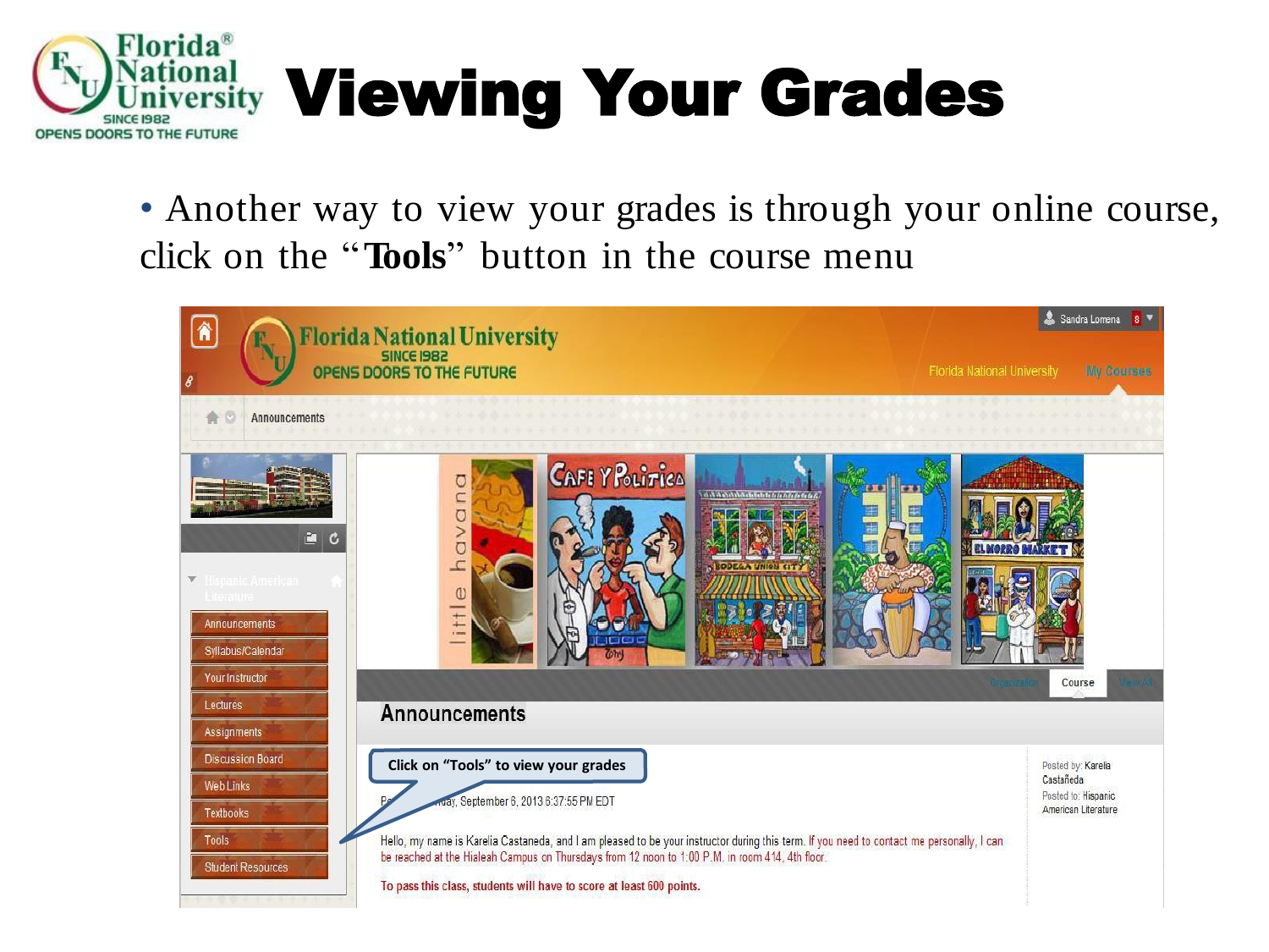

• Another way to view your grades is through your online course, click on the "**Tools**" button in the course menu

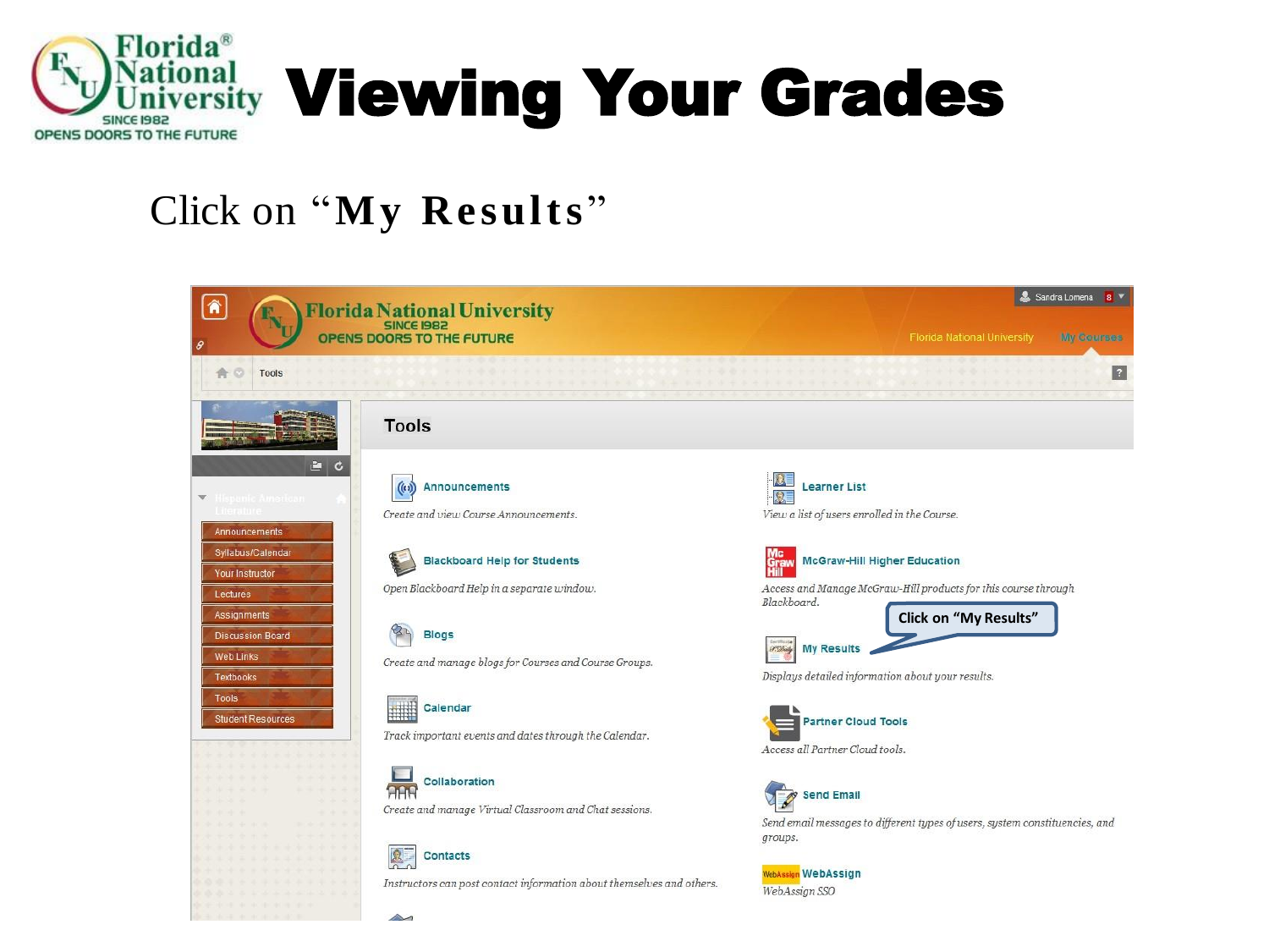

## Click on "**My Results** "